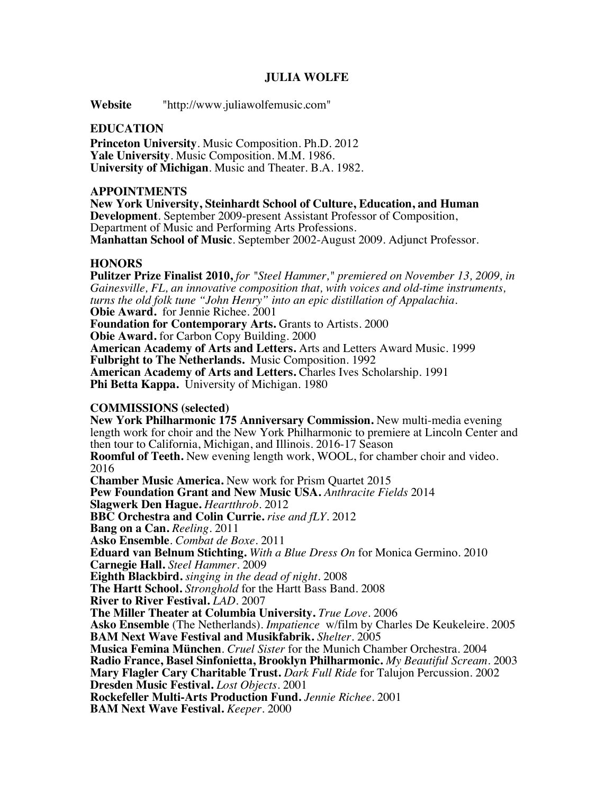### **JULIA WOLFE**

**Website** "http://www.juliawolfemusic.com"

#### **EDUCATION**

**Princeton University**. Music Composition. Ph.D. 2012 **Yale University**. Music Composition. M.M. 1986. **University of Michigan**. Music and Theater. B.A. 1982.

#### **APPOINTMENTS**

**New York University, Steinhardt School of Culture, Education, and Human Development**. September 2009-present Assistant Professor of Composition, Department of Music and Performing Arts Professions. **Manhattan School of Music**. September 2002-August 2009. Adjunct Professor.

#### **HONORS**

**Pulitzer Prize Finalist 2010,** *for "Steel Hammer," premiered on November 13, 2009, in Gainesville, FL, an innovative composition that, with voices and old-time instruments, turns the old folk tune "John Henry" into an epic distillation of Appalachia.*  **Obie Award.** for Jennie Richee. 2001 **Foundation for Contemporary Arts.** Grants to Artists. 2000 **Obie Award.** for Carbon Copy Building. 2000 **American Academy of Arts and Letters.** Arts and Letters Award Music. 1999 **Fulbright to The Netherlands.** Music Composition. 1992 **American Academy of Arts and Letters.** Charles Ives Scholarship. 1991 **Phi Betta Kappa.** University of Michigan. 1980 **COMMISSIONS (selected) New York Philharmonic 175 Anniversary Commission.** New multi-media evening length work for choir and the New York Philharmonic to premiere at Lincoln Center and then tour to California, Michigan, and Illinois. 2016-17 Season

**Roomful of Teeth.** New evening length work, WOOL, for chamber choir and video. 2016

**Chamber Music America.** New work for Prism Quartet 2015 **Pew Foundation Grant and New Music USA.** *Anthracite Fields* 2014 **Slagwerk Den Hague.** *Heartthrob*. 2012 **BBC Orchestra and Colin Currie.** *rise and fLY.* 2012 **Bang on a Can.** *Reeling.* 2011 **Asko Ensemble**. *Combat de Boxe*. 2011 **Eduard van Belnum Stichting.** *With a Blue Dress On* for Monica Germino. 2010 **Carnegie Hall.** *Steel Hammer*. 2009 **Eighth Blackbird.** *singing in the dead of night*. 2008 **The Hartt School.** *Stronghold* for the Hartt Bass Band. 2008 **River to River Festival.** *LAD*. 2007 **The Miller Theater at Columbia University.** *True Love*. 2006 **Asko Ensemble** (The Netherlands). *Impatience* w/film by Charles De Keukeleire. 2005 **BAM Next Wave Festival and Musikfabrik.** *Shelter*. 2005 **Musica Femina München**. *Cruel Sister* for the Munich Chamber Orchestra. 2004 **Radio France, Basel Sinfonietta, Brooklyn Philharmonic.** *My Beautiful Scream*. 2003 **Mary Flagler Cary Charitable Trust.** *Dark Full Ride* for Talujon Percussion. 2002 **Dresden Music Festival.** *Lost Objects*. 2001 **Rockefeller Multi-Arts Production Fund.** *Jennie Richee*. 2001 **BAM Next Wave Festival.** *Keeper*. 2000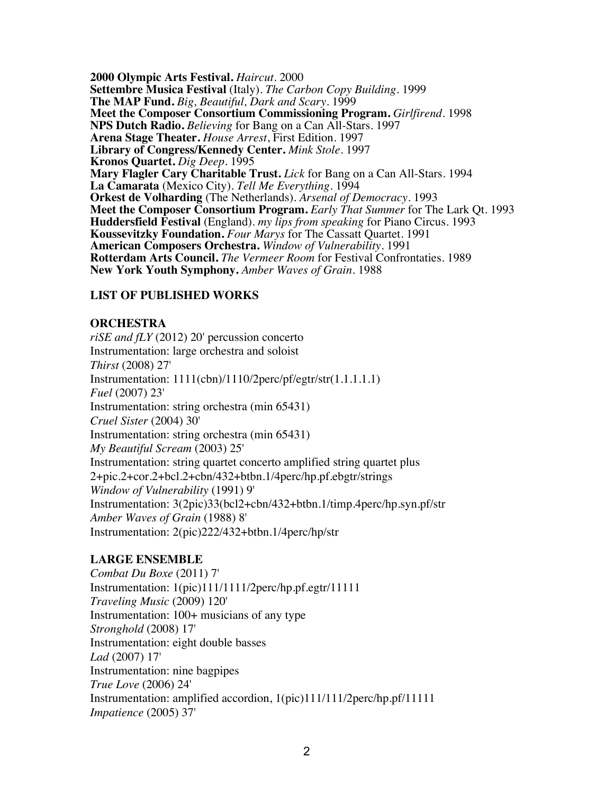**2000 Olympic Arts Festival.** *Haircut*. 2000 **Settembre Musica Festival** (Italy). *The Carbon Copy Building*. 1999 **The MAP Fund.** *Big, Beautiful, Dark and Scary*. 1999 **Meet the Composer Consortium Commissioning Program.** *Girlfirend*. 1998 **NPS Dutch Radio.** *Believing* for Bang on a Can All-Stars. 1997 **Arena Stage Theater.** *House Arrest*, First Edition. 1997 **Library of Congress/Kennedy Center.** *Mink Stole*. 1997 **Kronos Quartet.** *Dig Deep*. 1995 **Mary Flagler Cary Charitable Trust.** *Lick* for Bang on a Can All-Stars. 1994 **La Camarata** (Mexico City). *Tell Me Everything*. 1994 **Orkest de Volharding** (The Netherlands). *Arsenal of Democracy*. 1993 **Meet the Composer Consortium Program.** *Early That Summer* for The Lark Qt. 1993 **Huddersfield Festival** (England). *my lips from speaking* for Piano Circus. 1993 **Koussevitzky Foundation.** *Four Marys* for The Cassatt Quartet. 1991 **American Composers Orchestra.** *Window of Vulnerability*. 1991 **Rotterdam Arts Council.** *The Vermeer Room* for Festival Confrontaties. 1989 **New York Youth Symphony.** *Amber Waves of Grain*. 1988

# **LIST OF PUBLISHED WORKS**

# **ORCHESTRA**

*riSE and fLY* (2012) 20' percussion concerto Instrumentation: large orchestra and soloist *Thirst* (2008) 27' Instrumentation: 1111(cbn)/1110/2perc/pf/egtr/str(1.1.1.1.1) *Fuel* (2007) 23' Instrumentation: string orchestra (min 65431) *Cruel Sister* (2004) 30' Instrumentation: string orchestra (min 65431) *My Beautiful Scream* (2003) 25' Instrumentation: string quartet concerto amplified string quartet plus 2+pic.2+cor.2+bcl.2+cbn/432+btbn.1/4perc/hp.pf.ebgtr/strings *Window of Vulnerability* (1991) 9' Instrumentation: 3(2pic)33(bcl2+cbn/432+btbn.1/timp.4perc/hp.syn.pf/str *Amber Waves of Grain* (1988) 8' Instrumentation: 2(pic)222/432+btbn.1/4perc/hp/str

# **LARGE ENSEMBLE**

*Combat Du Boxe* (2011) 7' Instrumentation: 1(pic)111/1111/2perc/hp.pf.egtr/11111 *Traveling Music* (2009) 120' Instrumentation: 100+ musicians of any type *Stronghold* (2008) 17' Instrumentation: eight double basses *Lad* (2007) 17' Instrumentation: nine bagpipes *True Love* (2006) 24' Instrumentation: amplified accordion, 1(pic)111/111/2perc/hp.pf/11111 *Impatience* (2005) 37'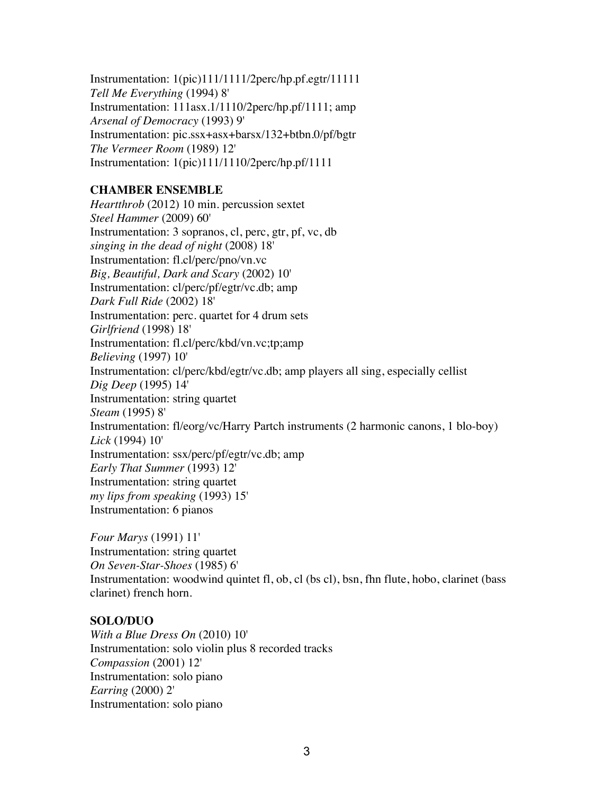Instrumentation: 1(pic)111/1111/2perc/hp.pf.egtr/11111 *Tell Me Everything* (1994) 8' Instrumentation: 111asx.1/1110/2perc/hp.pf/1111; amp *Arsenal of Democracy* (1993) 9' Instrumentation: pic.ssx+asx+barsx/132+btbn.0/pf/bgtr *The Vermeer Room* (1989) 12' Instrumentation: 1(pic)111/1110/2perc/hp.pf/1111

# **CHAMBER ENSEMBLE**

*Heartthrob* (2012) 10 min. percussion sextet *Steel Hammer* (2009) 60' Instrumentation: 3 sopranos, cl, perc, gtr, pf, vc, db *singing in the dead of night* (2008) 18' Instrumentation: fl.cl/perc/pno/vn.vc *Big, Beautiful, Dark and Scary* (2002) 10' Instrumentation: cl/perc/pf/egtr/vc.db; amp *Dark Full Ride* (2002) 18' Instrumentation: perc. quartet for 4 drum sets *Girlfriend* (1998) 18' Instrumentation: fl.cl/perc/kbd/vn.vc;tp;amp *Believing* (1997) 10' Instrumentation: cl/perc/kbd/egtr/vc.db; amp players all sing, especially cellist *Dig Deep* (1995) 14' Instrumentation: string quartet *Steam* (1995) 8' Instrumentation: fl/eorg/vc/Harry Partch instruments (2 harmonic canons, 1 blo-boy) *Lick* (1994) 10' Instrumentation: ssx/perc/pf/egtr/vc.db; amp *Early That Summer* (1993) 12' Instrumentation: string quartet *my lips from speaking* (1993) 15' Instrumentation: 6 pianos

*Four Marys* (1991) 11' Instrumentation: string quartet *On Seven-Star-Shoes* (1985) 6' Instrumentation: woodwind quintet fl, ob, cl (bs cl), bsn, fhn flute, hobo, clarinet (bass clarinet) french horn.

# **SOLO/DUO**

*With a Blue Dress On* (2010) 10' Instrumentation: solo violin plus 8 recorded tracks *Compassion* (2001) 12' Instrumentation: solo piano *Earring* (2000) 2' Instrumentation: solo piano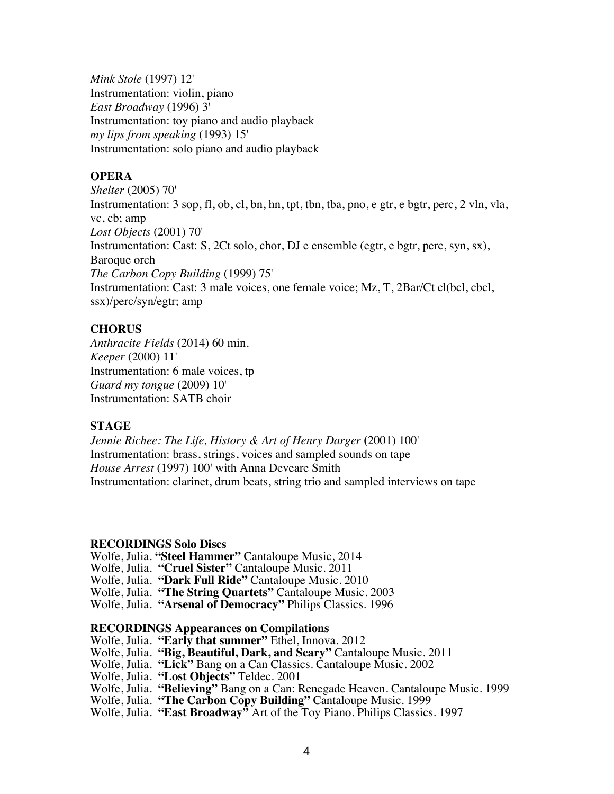*Mink Stole* (1997) 12' Instrumentation: violin, piano *East Broadway* (1996) 3' Instrumentation: toy piano and audio playback *my lips from speaking* (1993) 15' Instrumentation: solo piano and audio playback

# **OPERA**

*Shelter* (2005) 70' Instrumentation: 3 sop, fl, ob, cl, bn, hn, tpt, tbn, tba, pno, e gtr, e bgtr, perc, 2 vln, vla, vc, cb; amp *Lost Objects* (2001) 70' Instrumentation: Cast: S, 2Ct solo, chor, DJ e ensemble (egtr, e bgtr, perc, syn, sx), Baroque orch *The Carbon Copy Building* (1999) 75' Instrumentation: Cast: 3 male voices, one female voice; Mz, T, 2Bar/Ct cl(bcl, cbcl, ssx)/perc/syn/egtr; amp

## **CHORUS**

*Anthracite Fields* (2014) 60 min. *Keeper* (2000) 11' Instrumentation: 6 male voices, tp *Guard my tongue* (2009) 10' Instrumentation: SATB choir

### **STAGE**

*Jennie Richee: The Life, History & Art of Henry Darger* **(**2001) 100' Instrumentation: brass, strings, voices and sampled sounds on tape *House Arrest* (1997) 100' with Anna Deveare Smith Instrumentation: clarinet, drum beats, string trio and sampled interviews on tape

### **RECORDINGS Solo Discs**

Wolfe, Julia. **"Steel Hammer"** Cantaloupe Music, 2014 Wolfe, Julia. **"Cruel Sister"** Cantaloupe Music. 2011 Wolfe, Julia. **"Dark Full Ride"** Cantaloupe Music. 2010 Wolfe, Julia. **"The String Quartets"** Cantaloupe Music. 2003 Wolfe, Julia. **"Arsenal of Democracy"** Philips Classics. 1996

#### **RECORDINGS Appearances on Compilations**

Wolfe, Julia. **"Early that summer"** Ethel, Innova. 2012 Wolfe, Julia. **"Big, Beautiful, Dark, and Scary"** Cantaloupe Music. 2011 Wolfe, Julia. **"Lick"** Bang on a Can Classics. Cantaloupe Music. 2002 Wolfe, Julia. **"Lost Objects"** Teldec. 2001 Wolfe, Julia. **"Believing"** Bang on a Can: Renegade Heaven. Cantaloupe Music. 1999 Wolfe, Julia. **"The Carbon Copy Building"** Cantaloupe Music. 1999 Wolfe, Julia. **"East Broadway"** Art of the Toy Piano. Philips Classics. 1997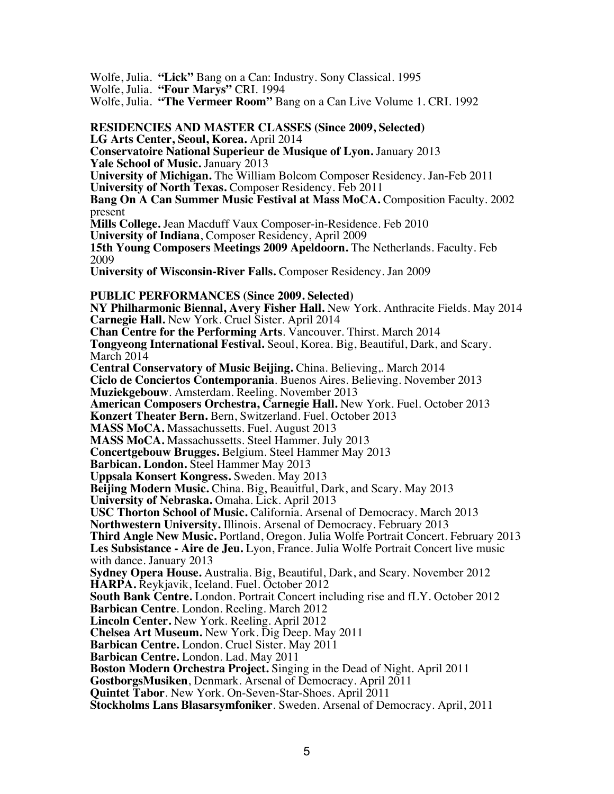Wolfe, Julia. **"Lick"** Bang on a Can: Industry. Sony Classical. 1995

Wolfe, Julia. **"Four Marys"** CRI. 1994

Wolfe, Julia. **"The Vermeer Room"** Bang on a Can Live Volume 1. CRI. 1992

**RESIDENCIES AND MASTER CLASSES (Since 2009, Selected) LG Arts Center, Seoul, Korea.** April 2014 **Conservatoire National Superieur de Musique of Lyon.** January 2013 **Yale School of Music.** January 2013 **University of Michigan.** The William Bolcom Composer Residency. Jan-Feb 2011 **University of North Texas.** Composer Residency. Feb 2011 **Bang On A Can Summer Music Festival at Mass MoCA.** Composition Faculty. 2002 present **Mills College.** Jean Macduff Vaux Composer-in-Residence. Feb 2010 **University of Indiana**, Composer Residency, April 2009 **15th Young Composers Meetings 2009 Apeldoorn.** The Netherlands. Faculty. Feb 2009 **University of Wisconsin-River Falls.** Composer Residency. Jan 2009 **PUBLIC PERFORMANCES (Since 2009. Selected) NY Philharmonic Biennal, Avery Fisher Hall.** New York. Anthracite Fields. May 2014 **Carnegie Hall.** New York. Cruel Sister. April 2014 **Chan Centre for the Performing Arts**. Vancouver. Thirst. March 2014 **Tongyeong International Festival.** Seoul, Korea. Big, Beautiful, Dark, and Scary. March 2014 **Central Conservatory of Music Beijing.** China. Believing,. March 2014 **Ciclo de Conciertos Contemporania**. Buenos Aires. Believing. November 2013 **Muziekgebouw**. Amsterdam. Reeling. November 2013 **American Composers Orchestra, Carnegie Hall.** New York. Fuel. October 2013 **Konzert Theater Bern.** Bern, Switzerland. Fuel. October 2013 **MASS MoCA.** Massachussetts. Fuel. August 2013 **MASS MoCA.** Massachussetts. Steel Hammer. July 2013 **Concertgebouw Brugges.** Belgium. Steel Hammer May 2013 **Barbican. London.** Steel Hammer May 2013 **Uppsala Konsert Kongress.** Sweden. May 2013 **Beijing Modern Music.** China. Big, Beauitful, Dark, and Scary. May 2013 **University of Nebraska.** Omaha. Lick. April 2013 **USC Thorton School of Music.** California. Arsenal of Democracy. March 2013 **Northwestern University.** Illinois. Arsenal of Democracy. February 2013 **Third Angle New Music.** Portland, Oregon. Julia Wolfe Portrait Concert. February 2013 **Les Subsistance - Aire de Jeu.** Lyon, France. Julia Wolfe Portrait Concert live music with dance. January 2013 **Sydney Opera House.** Australia. Big, Beautiful, Dark, and Scary. November 2012 **HARPA.** Reykjavik, Iceland. Fuel. October 2012 **South Bank Centre.** London. Portrait Concert including rise and fLY. October 2012 **Barbican Centre**. London. Reeling. March 2012 **Lincoln Center.** New York. Reeling. April 2012 **Chelsea Art Museum.** New York. Dig Deep. May 2011 **Barbican Centre.** London. Cruel Sister. May 2011 **Barbican Centre.** London. Lad. May 2011 **Boston Modern Orchestra Project.** Singing in the Dead of Night. April 2011 **GostborgsMusiken**, Denmark. Arsenal of Democracy. April 2011 **Quintet Tabor**. New York. On-Seven-Star-Shoes. April 2011 **Stockholms Lans Blasarsymfoniker**. Sweden. Arsenal of Democracy. April, 2011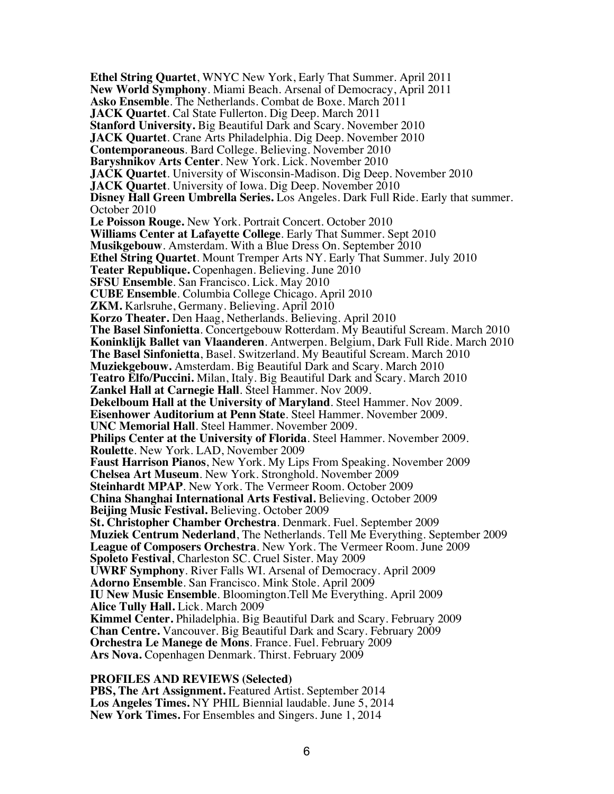**Ethel String Quartet**, WNYC New York, Early That Summer. April 2011 **New World Symphony**. Miami Beach. Arsenal of Democracy, April 2011 **Asko Ensemble**. The Netherlands. Combat de Boxe. March 2011 **JACK Quartet**. Cal State Fullerton. Dig Deep. March 2011 **Stanford University.** Big Beautiful Dark and Scary. November 2010 **JACK Quartet**. Crane Arts Philadelphia. Dig Deep. November 2010 **Contemporaneous**. Bard College. Believing. November 2010 **Baryshnikov Arts Center**. New York. Lick. November 2010 **JACK Quartet**. University of Wisconsin-Madison. Dig Deep. November 2010 **JACK Quartet**. University of Iowa. Dig Deep. November 2010 **Disney Hall Green Umbrella Series.** Los Angeles. Dark Full Ride. Early that summer. October 2010 **Le Poisson Rouge.** New York. Portrait Concert. October 2010 **Williams Center at Lafayette College**. Early That Summer. Sept 2010 **Musikgebouw**. Amsterdam. With a Blue Dress On. September 2010 **Ethel String Quartet**. Mount Tremper Arts NY. Early That Summer. July 2010 **Teater Republique.** Copenhagen. Believing. June 2010 **SFSU Ensemble**. San Francisco. Lick. May 2010 **CUBE Ensemble**. Columbia College Chicago. April 2010 **ZKM.** Karlsruhe, Germany. Believing. April 2010 **Korzo Theater.** Den Haag, Netherlands. Believing. April 2010 **The Basel Sinfonietta**. Concertgebouw Rotterdam. My Beautiful Scream. March 2010 **Koninklijk Ballet van Vlaanderen**. Antwerpen. Belgium, Dark Full Ride. March 2010 **The Basel Sinfonietta**, Basel. Switzerland. My Beautiful Scream. March 2010 **Muziekgebouw.** Amsterdam. Big Beautiful Dark and Scary. March 2010 **Teatro Elfo/Puccini.** Milan, Italy. Big Beautiful Dark and Scary. March 2010 **Zankel Hall at Carnegie Hall**. Steel Hammer. Nov 2009. **Dekelboum Hall at the University of Maryland**. Steel Hammer. Nov 2009. **Eisenhower Auditorium at Penn State**. Steel Hammer. November 2009. **UNC Memorial Hall**. Steel Hammer. November 2009. **Philips Center at the University of Florida**. Steel Hammer. November 2009. **Roulette**. New York. LAD, November 2009 **Faust Harrison Pianos**, New York. My Lips From Speaking. November 2009 **Chelsea Art Museum**. New York. Stronghold. November 2009 **Steinhardt MPAP**. New York. The Vermeer Room. October 2009 **China Shanghai International Arts Festival.** Believing. October 2009 **Beijing Music Festival.** Believing. October 2009 **St. Christopher Chamber Orchestra**. Denmark. Fuel. September 2009 **Muziek Centrum Nederland**, The Netherlands. Tell Me Everything. September 2009 **League of Composers Orchestra**. New York. The Vermeer Room. June 2009 **Spoleto Festival**, Charleston SC. Cruel Sister. May 2009 **UWRF Symphony**. River Falls WI. Arsenal of Democracy. April 2009 **Adorno Ensemble**. San Francisco. Mink Stole. April 2009 **IU New Music Ensemble**. Bloomington.Tell Me Everything. April 2009 **Alice Tully Hall.** Lick. March 2009 **Kimmel Center.** Philadelphia. Big Beautiful Dark and Scary. February 2009 **Chan Centre.** Vancouver. Big Beautiful Dark and Scary. February 2009 **Orchestra Le Manege de Mons**. France. Fuel. February 2009 **Ars Nova.** Copenhagen Denmark. Thirst. February 2009

#### **PROFILES AND REVIEWS (Selected)**

**PBS, The Art Assignment.** Featured Artist. September 2014 **Los Angeles Times.** NY PHIL Biennial laudable. June 5, 2014 **New York Times.** For Ensembles and Singers. June 1, 2014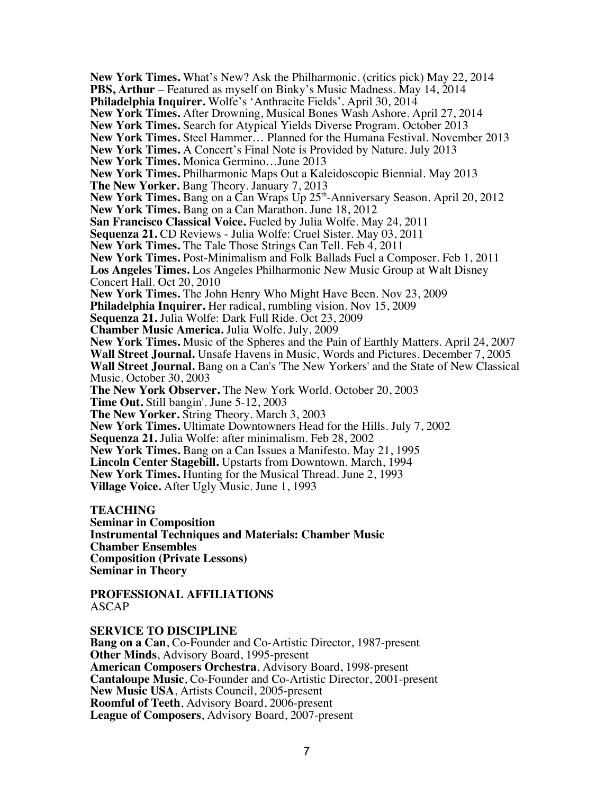**New York Times.** What's New? Ask the Philharmonic. (critics pick) May 22, 2014 **PBS, Arthur** – Featured as myself on Binky's Music Madness. May 14, 2014 **Philadelphia Inquirer.** Wolfe's 'Anthracite Fields'. April 30, 2014 **New York Times.** After Drowning, Musical Bones Wash Ashore. April 27, 2014 **New York Times.** Search for Atypical Yields Diverse Program. October 2013 **New York Times.** Steel Hammer… Planned for the Humana Festival. November 2013 **New York Times.** A Concert's Final Note is Provided by Nature. July 2013 **New York Times.** Monica Germino…June 2013 **New York Times.** Philharmonic Maps Out a Kaleidoscopic Biennial. May 2013 **The New Yorker.** Bang Theory. January 7, 2013 **New York Times.** Bang on a Can Wraps Up 25<sup>th</sup>-Anniversary Season. April 20, 2012 **New York Times.** Bang on a Can Marathon. June 18, 2012 **San Francisco Classical Voice.** Fueled by Julia Wolfe. May 24, 2011 **Sequenza 21.** CD Reviews - Julia Wolfe: Cruel Sister. May 03, 2011 **New York Times.** The Tale Those Strings Can Tell. Feb 4, 2011 **New York Times.** Post-Minimalism and Folk Ballads Fuel a Composer. Feb 1, 2011 **Los Angeles Times.** Los Angeles Philharmonic New Music Group at Walt Disney Concert Hall. Oct 20, 2010 **New York Times.** The John Henry Who Might Have Been. Nov 23, 2009 **Philadelphia Inquirer.** Her radical, rumbling vision. Nov 15, 2009 **Sequenza 21.** Julia Wolfe: Dark Full Ride. Oct 23, 2009 **Chamber Music America.** Julia Wolfe. July, 2009 **New York Times.** Music of the Spheres and the Pain of Earthly Matters. April 24, 2007 **Wall Street Journal.** Unsafe Havens in Music, Words and Pictures. December 7, 2005 **Wall Street Journal.** Bang on a Can's 'The New Yorkers' and the State of New Classical Music. October 30, 2003 **The New York Observer.** The New York World. October 20, 2003 **Time Out.** Still bangin'. June 5-12, 2003 **The New Yorker.** String Theory. March 3, 2003 **New York Times.** Ultimate Downtowners Head for the Hills. July 7, 2002 **Sequenza 21.** Julia Wolfe: after minimalism. Feb 28, 2002 **New York Times.** Bang on a Can Issues a Manifesto. May 21, 1995 **Lincoln Center Stagebill.** Upstarts from Downtown. March, 1994 **New York Times.** Hunting for the Musical Thread. June 2, 1993 **Village Voice.** After Ugly Music. June 1, 1993 **TEACHING Seminar in Composition Instrumental Techniques and Materials: Chamber Music Chamber Ensembles**

**Composition (Private Lessons) Seminar in Theory**

**PROFESSIONAL AFFILIATIONS** ASCAP

**SERVICE TO DISCIPLINE**

**Bang on a Can**, Co-Founder and Co-Artistic Director, 1987-present **Other Minds**, Advisory Board, 1995-present **American Composers Orchestra**, Advisory Board, 1998-present **Cantaloupe Music**, Co-Founder and Co-Artistic Director, 2001-present **New Music USA**, Artists Council, 2005-present **Roomful of Teeth**, Advisory Board, 2006-present **League of Composers**, Advisory Board, 2007-present